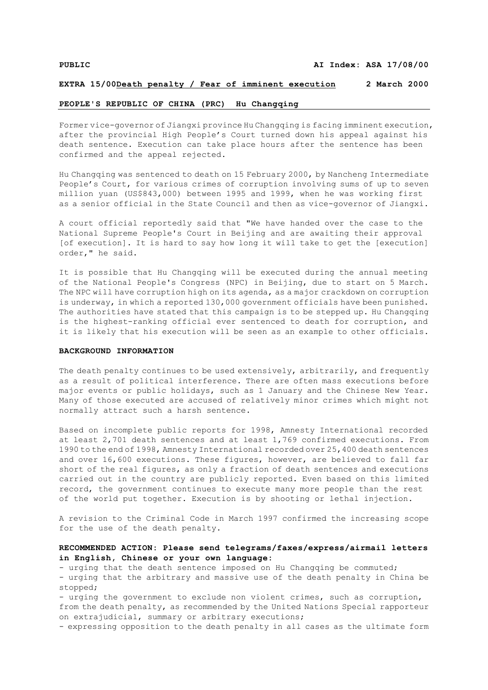#### **EXTRA 15/00Death penalty / Fear of imminent execution 2 March 2000**

# **PEOPLE'S REPUBLIC OF CHINA (PRC) Hu Changqing**

Former vice-governor of Jiangxi province Hu Changqing is facing imminent execution, after the provincial High People's Court turned down his appeal against his death sentence. Execution can take place hours after the sentence has been confirmed and the appeal rejected.

Hu Changqing was sentenced to death on 15 February 2000, by Nancheng Intermediate People's Court, for various crimes of corruption involving sums of up to seven million yuan (US\$843,000) between 1995 and 1999, when he was working first as a senior official in the State Council and then as vice-governor of Jiangxi.

A court official reportedly said that "We have handed over the case to the National Supreme People's Court in Beijing and are awaiting their approval [of execution]. It is hard to say how long it will take to get the [execution] order," he said.

It is possible that Hu Changqing will be executed during the annual meeting of the National People's Congress (NPC) in Beijing, due to start on 5 March. The NPC will have corruption high on its agenda, as a major crackdown on corruption is underway, in which a reported 130,000 government officials have been punished. The authorities have stated that this campaign is to be stepped up. Hu Changqing is the highest-ranking official ever sentenced to death for corruption, and it is likely that his execution will be seen as an example to other officials.

#### **BACKGROUND INFORMATION**

The death penalty continues to be used extensively, arbitrarily, and frequently as a result of political interference. There are often mass executions before major events or public holidays, such as 1 January and the Chinese New Year. Many of those executed are accused of relatively minor crimes which might not normally attract such a harsh sentence.

Based on incomplete public reports for 1998, Amnesty International recorded at least 2,701 death sentences and at least 1,769 confirmed executions. From 1990 to the end of 1998, Amnesty International recorded over 25,400 death sentences and over 16,600 executions. These figures, however, are believed to fall far short of the real figures, as only a fraction of death sentences and executions carried out in the country are publicly reported. Even based on this limited record, the government continues to execute many more people than the rest of the world put together. Execution is by shooting or lethal injection.

A revision to the Criminal Code in March 1997 confirmed the increasing scope for the use of the death penalty.

# **RECOMMENDED ACTION: Please send telegrams/faxes/express/airmail letters in English, Chinese or your own language:**

- urging that the death sentence imposed on Hu Changqing be commuted; - urging that the arbitrary and massive use of the death penalty in China be stopped;

- urging the government to exclude non violent crimes, such as corruption, from the death penalty, as recommended by the United Nations Special rapporteur on extrajudicial, summary or arbitrary executions;

- expressing opposition to the death penalty in all cases as the ultimate form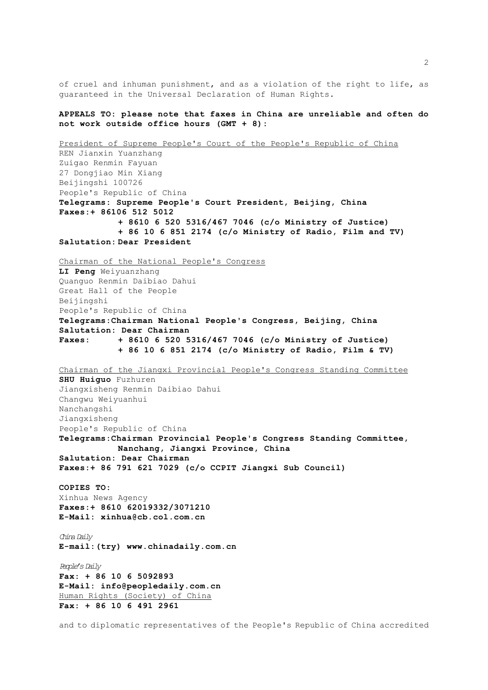of cruel and inhuman punishment, and as a violation of the right to life, as guaranteed in the Universal Declaration of Human Rights.

### **APPEALS TO: please note that faxes in China are unreliable and often do not work outside office hours (GMT + 8):**

President of Supreme People's Court of the People's Republic of China REN Jianxin Yuanzhang Zuigao Renmin Fayuan 27 Dongjiao Min Xiang Beijingshi 100726 People's Republic of China **Telegrams: Supreme People's Court President, Beijing, China Faxes:+ 86106 512 5012 + 8610 6 520 5316/467 7046 (c/o Ministry of Justice) + 86 10 6 851 2174 (c/o Ministry of Radio, Film and TV) Salutation: Dear President** Chairman of the National People's Congress **LI Peng** Weiyuanzhang Quanguo Renmin Daibiao Dahui Great Hall of the People Beijingshi People's Republic of China **Telegrams:Chairman National People's Congress, Beijing, China Salutation: Dear Chairman Faxes: + 8610 6 520 5316/467 7046 (c/o Ministry of Justice) + 86 10 6 851 2174 (c/o Ministry of Radio, Film & TV)** Chairman of the Jiangxi Provincial People's Congress Standing Committee **SHU Huiguo** Fuzhuren Jiangxisheng Renmin Daibiao Dahui Changwu Weiyuanhui Nanchangshi Jiangxisheng People's Republic of China **Telegrams:Chairman Provincial People's Congress Standing Committee, Nanchang, Jiangxi Province, China Salutation: Dear Chairman Faxes:+ 86 791 621 7029 (c/o CCPIT Jiangxi Sub Council) COPIES TO:** Xinhua News Agency **Faxes:+ 8610 62019332/3071210 E-Mail: xinhua@cb.col.com.cn** *China Daily* **E-mail:(try) www.chinadaily.com.cn** *People's Daily* **Fax: + 86 10 6 5092893 E-Mail: info@peopledaily.com.cn** Human Rights (Society) of China **Fax: + 86 10 6 491 2961**

and to diplomatic representatives of the People's Republic of China accredited